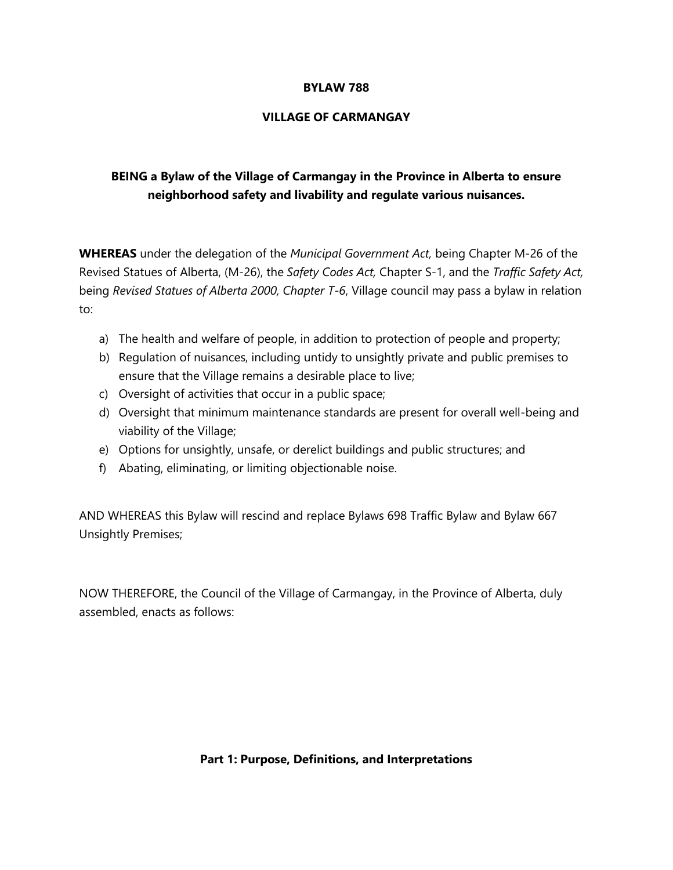#### **BYLAW 788**

#### **VILLAGE OF CARMANGAY**

# **BEING a Bylaw of the Village of Carmangay in the Province in Alberta to ensure neighborhood safety and livability and regulate various nuisances.**

**WHEREAS** under the delegation of the *Municipal Government Act,* being Chapter M-26 of the Revised Statues of Alberta, (M-26), the *Safety Codes Act,* Chapter S-1, and the *Traffic Safety Act,*  being *Revised Statues of Alberta 2000, Chapter T-6*, Village council may pass a bylaw in relation to:

- a) The health and welfare of people, in addition to protection of people and property;
- b) Regulation of nuisances, including untidy to unsightly private and public premises to ensure that the Village remains a desirable place to live;
- c) Oversight of activities that occur in a public space;
- d) Oversight that minimum maintenance standards are present for overall well-being and viability of the Village;
- e) Options for unsightly, unsafe, or derelict buildings and public structures; and
- f) Abating, eliminating, or limiting objectionable noise.

AND WHEREAS this Bylaw will rescind and replace Bylaws 698 Traffic Bylaw and Bylaw 667 Unsightly Premises;

NOW THEREFORE, the Council of the Village of Carmangay, in the Province of Alberta, duly assembled, enacts as follows:

#### **Part 1: Purpose, Definitions, and Interpretations**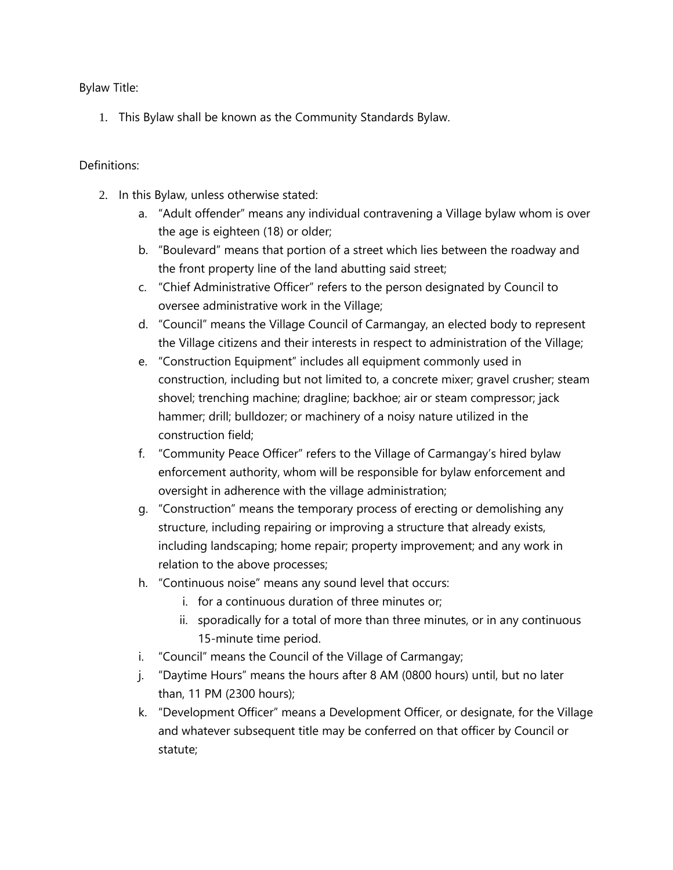Bylaw Title:

1. This Bylaw shall be known as the Community Standards Bylaw.

### Definitions:

- 2. In this Bylaw, unless otherwise stated:
	- a. "Adult offender" means any individual contravening a Village bylaw whom is over the age is eighteen (18) or older;
	- b. "Boulevard" means that portion of a street which lies between the roadway and the front property line of the land abutting said street;
	- c. "Chief Administrative Officer" refers to the person designated by Council to oversee administrative work in the Village;
	- d. "Council" means the Village Council of Carmangay, an elected body to represent the Village citizens and their interests in respect to administration of the Village;
	- e. "Construction Equipment" includes all equipment commonly used in construction, including but not limited to, a concrete mixer; gravel crusher; steam shovel; trenching machine; dragline; backhoe; air or steam compressor; jack hammer; drill; bulldozer; or machinery of a noisy nature utilized in the construction field;
	- f. "Community Peace Officer" refers to the Village of Carmangay's hired bylaw enforcement authority, whom will be responsible for bylaw enforcement and oversight in adherence with the village administration;
	- g. "Construction" means the temporary process of erecting or demolishing any structure, including repairing or improving a structure that already exists, including landscaping; home repair; property improvement; and any work in relation to the above processes;
	- h. "Continuous noise" means any sound level that occurs:
		- i. for a continuous duration of three minutes or;
		- ii. sporadically for a total of more than three minutes, or in any continuous 15-minute time period.
	- i. "Council" means the Council of the Village of Carmangay;
	- j. "Daytime Hours" means the hours after 8 AM (0800 hours) until, but no later than, 11 PM (2300 hours);
	- k. "Development Officer" means a Development Officer, or designate, for the Village and whatever subsequent title may be conferred on that officer by Council or statute;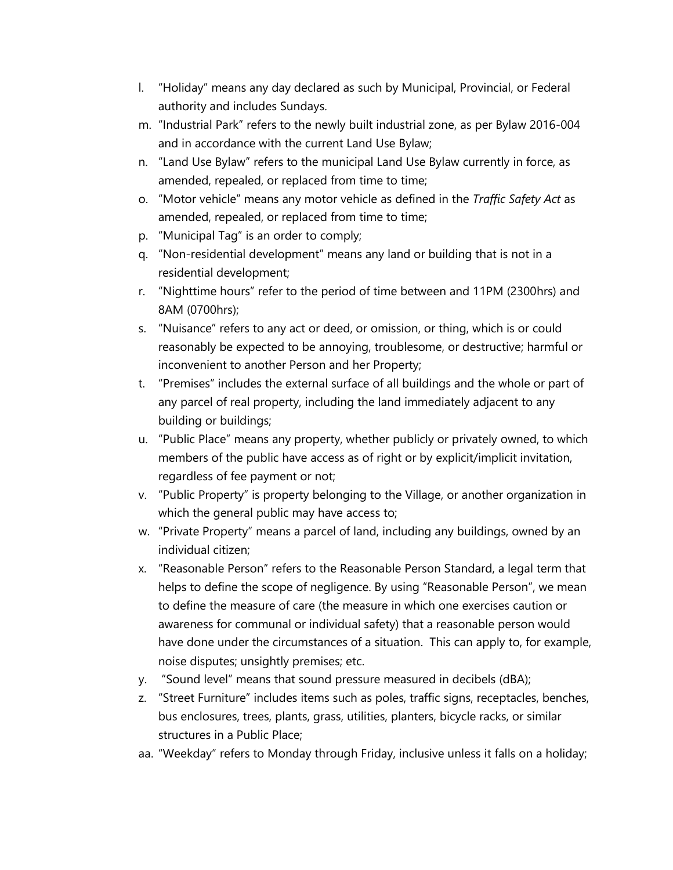- l. "Holiday" means any day declared as such by Municipal, Provincial, or Federal authority and includes Sundays.
- m. "Industrial Park" refers to the newly built industrial zone, as per Bylaw 2016-004 and in accordance with the current Land Use Bylaw;
- n. "Land Use Bylaw" refers to the municipal Land Use Bylaw currently in force, as amended, repealed, or replaced from time to time;
- o. "Motor vehicle" means any motor vehicle as defined in the *Traffic Safety Act* as amended, repealed, or replaced from time to time;
- p. "Municipal Tag" is an order to comply;
- q. "Non-residential development" means any land or building that is not in a residential development;
- r. "Nighttime hours" refer to the period of time between and 11PM (2300hrs) and 8AM (0700hrs);
- s. "Nuisance" refers to any act or deed, or omission, or thing, which is or could reasonably be expected to be annoying, troublesome, or destructive; harmful or inconvenient to another Person and her Property;
- t. "Premises" includes the external surface of all buildings and the whole or part of any parcel of real property, including the land immediately adjacent to any building or buildings;
- u. "Public Place" means any property, whether publicly or privately owned, to which members of the public have access as of right or by explicit/implicit invitation, regardless of fee payment or not;
- v. "Public Property" is property belonging to the Village, or another organization in which the general public may have access to;
- w. "Private Property" means a parcel of land, including any buildings, owned by an individual citizen;
- x. "Reasonable Person" refers to the Reasonable Person Standard, a legal term that helps to define the scope of negligence. By using "Reasonable Person", we mean to define the measure of care (the measure in which one exercises caution or awareness for communal or individual safety) that a reasonable person would have done under the circumstances of a situation. This can apply to, for example, noise disputes; unsightly premises; etc.
- y. "Sound level" means that sound pressure measured in decibels (dBA);
- z. "Street Furniture" includes items such as poles, traffic signs, receptacles, benches, bus enclosures, trees, plants, grass, utilities, planters, bicycle racks, or similar structures in a Public Place;
- aa. "Weekday" refers to Monday through Friday, inclusive unless it falls on a holiday;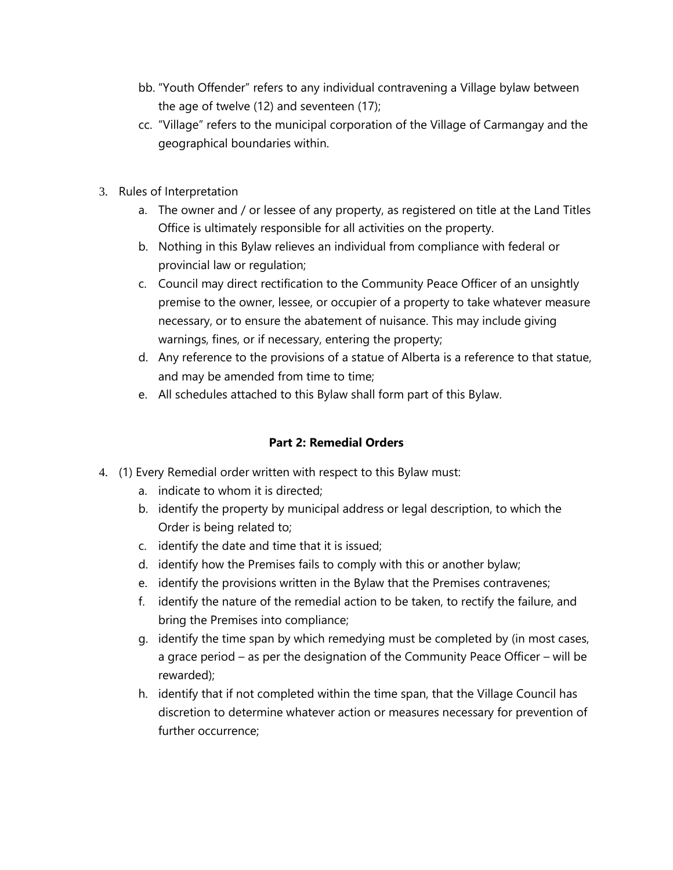- bb. "Youth Offender" refers to any individual contravening a Village bylaw between the age of twelve (12) and seventeen (17);
- cc. "Village" refers to the municipal corporation of the Village of Carmangay and the geographical boundaries within.
- 3. Rules of Interpretation
	- a. The owner and / or lessee of any property, as registered on title at the Land Titles Office is ultimately responsible for all activities on the property.
	- b. Nothing in this Bylaw relieves an individual from compliance with federal or provincial law or regulation;
	- c. Council may direct rectification to the Community Peace Officer of an unsightly premise to the owner, lessee, or occupier of a property to take whatever measure necessary, or to ensure the abatement of nuisance. This may include giving warnings, fines, or if necessary, entering the property;
	- d. Any reference to the provisions of a statue of Alberta is a reference to that statue, and may be amended from time to time;
	- e. All schedules attached to this Bylaw shall form part of this Bylaw.

### **Part 2: Remedial Orders**

- 4. (1) Every Remedial order written with respect to this Bylaw must:
	- a. indicate to whom it is directed;
	- b. identify the property by municipal address or legal description, to which the Order is being related to;
	- c. identify the date and time that it is issued;
	- d. identify how the Premises fails to comply with this or another bylaw;
	- e. identify the provisions written in the Bylaw that the Premises contravenes;
	- f. identify the nature of the remedial action to be taken, to rectify the failure, and bring the Premises into compliance;
	- g. identify the time span by which remedying must be completed by (in most cases, a grace period – as per the designation of the Community Peace Officer – will be rewarded);
	- h. identify that if not completed within the time span, that the Village Council has discretion to determine whatever action or measures necessary for prevention of further occurrence;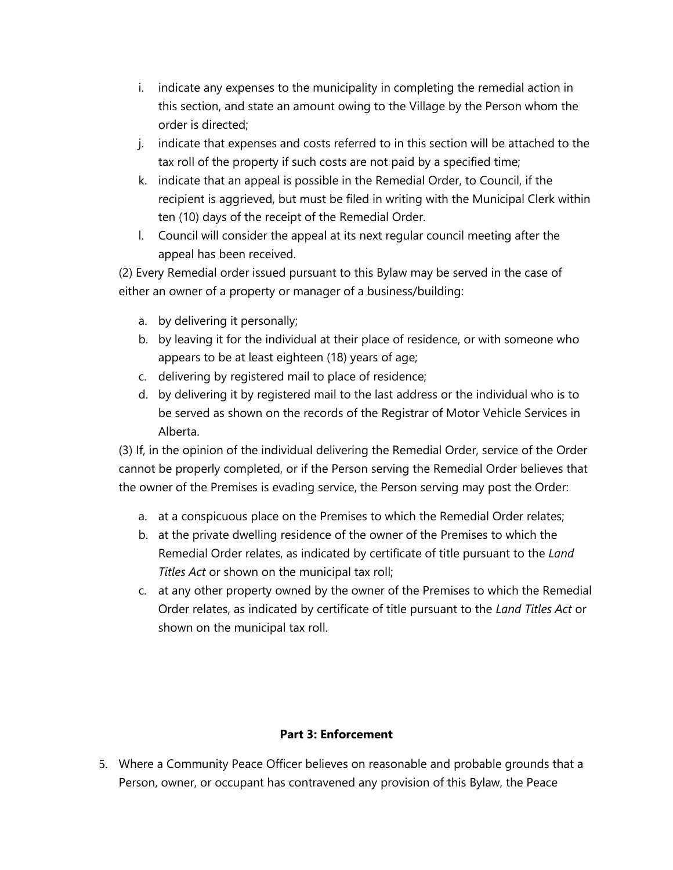- i. indicate any expenses to the municipality in completing the remedial action in this section, and state an amount owing to the Village by the Person whom the order is directed;
- j. indicate that expenses and costs referred to in this section will be attached to the tax roll of the property if such costs are not paid by a specified time;
- k. indicate that an appeal is possible in the Remedial Order, to Council, if the recipient is aggrieved, but must be filed in writing with the Municipal Clerk within ten (10) days of the receipt of the Remedial Order.
- l. Council will consider the appeal at its next regular council meeting after the appeal has been received.

(2) Every Remedial order issued pursuant to this Bylaw may be served in the case of either an owner of a property or manager of a business/building:

- a. by delivering it personally;
- b. by leaving it for the individual at their place of residence, or with someone who appears to be at least eighteen (18) years of age;
- c. delivering by registered mail to place of residence;
- d. by delivering it by registered mail to the last address or the individual who is to be served as shown on the records of the Registrar of Motor Vehicle Services in Alberta.

(3) If, in the opinion of the individual delivering the Remedial Order, service of the Order cannot be properly completed, or if the Person serving the Remedial Order believes that the owner of the Premises is evading service, the Person serving may post the Order:

- a. at a conspicuous place on the Premises to which the Remedial Order relates;
- b. at the private dwelling residence of the owner of the Premises to which the Remedial Order relates, as indicated by certificate of title pursuant to the *Land Titles Act* or shown on the municipal tax roll;
- c. at any other property owned by the owner of the Premises to which the Remedial Order relates, as indicated by certificate of title pursuant to the *Land Titles Act* or shown on the municipal tax roll.

### **Part 3: Enforcement**

5. Where a Community Peace Officer believes on reasonable and probable grounds that a Person, owner, or occupant has contravened any provision of this Bylaw, the Peace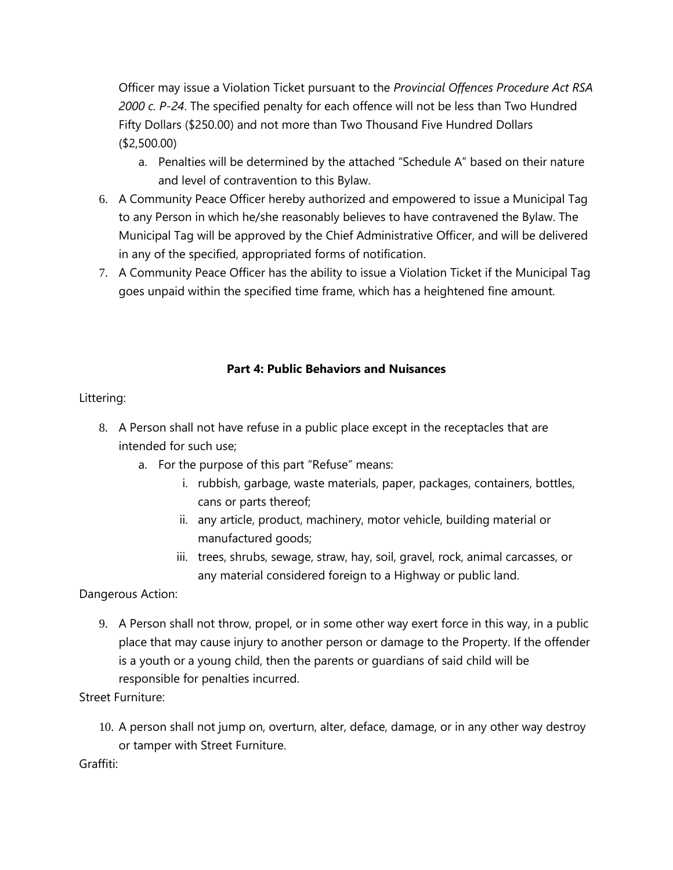Officer may issue a Violation Ticket pursuant to the *Provincial Offences Procedure Act RSA 2000 c. P-24*. The specified penalty for each offence will not be less than Two Hundred Fifty Dollars (\$250.00) and not more than Two Thousand Five Hundred Dollars (\$2,500.00)

- a. Penalties will be determined by the attached "Schedule A" based on their nature and level of contravention to this Bylaw.
- 6. A Community Peace Officer hereby authorized and empowered to issue a Municipal Tag to any Person in which he/she reasonably believes to have contravened the Bylaw. The Municipal Tag will be approved by the Chief Administrative Officer, and will be delivered in any of the specified, appropriated forms of notification.
- 7. A Community Peace Officer has the ability to issue a Violation Ticket if the Municipal Tag goes unpaid within the specified time frame, which has a heightened fine amount.

### **Part 4: Public Behaviors and Nuisances**

### Littering:

- 8. A Person shall not have refuse in a public place except in the receptacles that are intended for such use;
	- a. For the purpose of this part "Refuse" means:
		- i. rubbish, garbage, waste materials, paper, packages, containers, bottles, cans or parts thereof;
		- ii. any article, product, machinery, motor vehicle, building material or manufactured goods;
		- iii. trees, shrubs, sewage, straw, hay, soil, gravel, rock, animal carcasses, or any material considered foreign to a Highway or public land.

## Dangerous Action:

9. A Person shall not throw, propel, or in some other way exert force in this way, in a public place that may cause injury to another person or damage to the Property. If the offender is a youth or a young child, then the parents or guardians of said child will be responsible for penalties incurred.

## Street Furniture:

10. A person shall not jump on, overturn, alter, deface, damage, or in any other way destroy or tamper with Street Furniture.

Graffiti: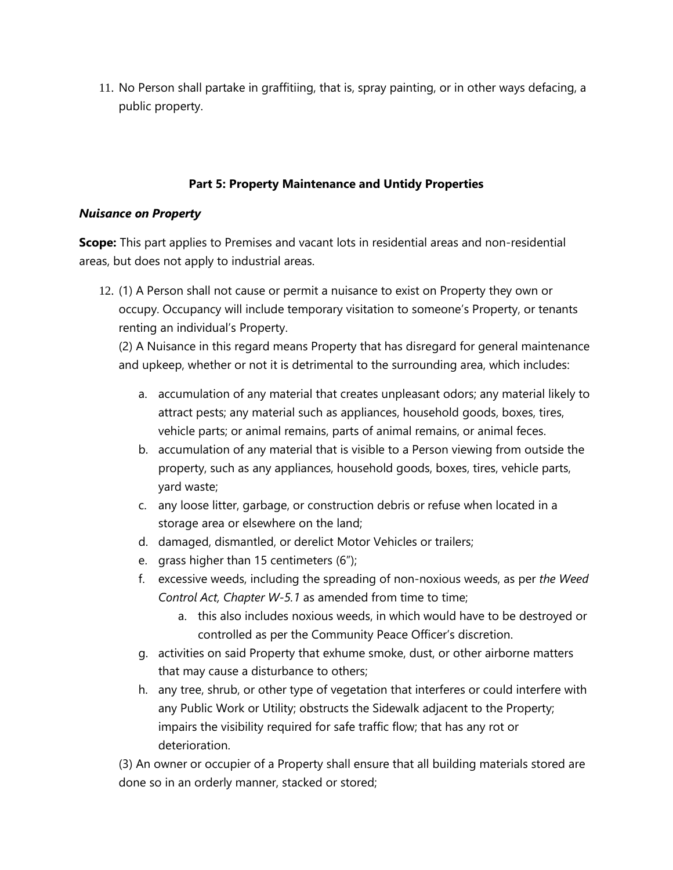11. No Person shall partake in graffitiing, that is, spray painting, or in other ways defacing, a public property.

### **Part 5: Property Maintenance and Untidy Properties**

#### *Nuisance on Property*

**Scope:** This part applies to Premises and vacant lots in residential areas and non-residential areas, but does not apply to industrial areas.

12. (1) A Person shall not cause or permit a nuisance to exist on Property they own or occupy. Occupancy will include temporary visitation to someone's Property, or tenants renting an individual's Property.

(2) A Nuisance in this regard means Property that has disregard for general maintenance and upkeep, whether or not it is detrimental to the surrounding area, which includes:

- a. accumulation of any material that creates unpleasant odors; any material likely to attract pests; any material such as appliances, household goods, boxes, tires, vehicle parts; or animal remains, parts of animal remains, or animal feces.
- b. accumulation of any material that is visible to a Person viewing from outside the property, such as any appliances, household goods, boxes, tires, vehicle parts, yard waste;
- c. any loose litter, garbage, or construction debris or refuse when located in a storage area or elsewhere on the land;
- d. damaged, dismantled, or derelict Motor Vehicles or trailers;
- e. grass higher than 15 centimeters (6");
- f. excessive weeds, including the spreading of non-noxious weeds, as per *the Weed Control Act, Chapter W-5.1* as amended from time to time;
	- a. this also includes noxious weeds, in which would have to be destroyed or controlled as per the Community Peace Officer's discretion.
- g. activities on said Property that exhume smoke, dust, or other airborne matters that may cause a disturbance to others;
- h. any tree, shrub, or other type of vegetation that interferes or could interfere with any Public Work or Utility; obstructs the Sidewalk adjacent to the Property; impairs the visibility required for safe traffic flow; that has any rot or deterioration.

(3) An owner or occupier of a Property shall ensure that all building materials stored are done so in an orderly manner, stacked or stored;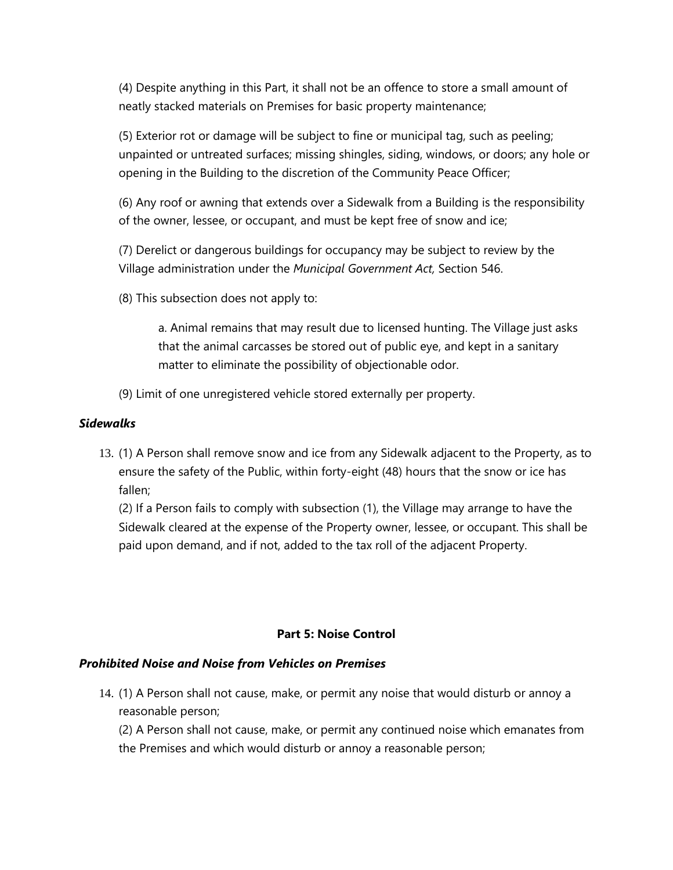(4) Despite anything in this Part, it shall not be an offence to store a small amount of neatly stacked materials on Premises for basic property maintenance;

(5) Exterior rot or damage will be subject to fine or municipal tag, such as peeling; unpainted or untreated surfaces; missing shingles, siding, windows, or doors; any hole or opening in the Building to the discretion of the Community Peace Officer;

(6) Any roof or awning that extends over a Sidewalk from a Building is the responsibility of the owner, lessee, or occupant, and must be kept free of snow and ice;

(7) Derelict or dangerous buildings for occupancy may be subject to review by the Village administration under the *Municipal Government Act,* Section 546.

(8) This subsection does not apply to:

a. Animal remains that may result due to licensed hunting. The Village just asks that the animal carcasses be stored out of public eye, and kept in a sanitary matter to eliminate the possibility of objectionable odor.

(9) Limit of one unregistered vehicle stored externally per property.

#### *Sidewalks*

13. (1) A Person shall remove snow and ice from any Sidewalk adjacent to the Property, as to ensure the safety of the Public, within forty-eight (48) hours that the snow or ice has fallen;

(2) If a Person fails to comply with subsection (1), the Village may arrange to have the Sidewalk cleared at the expense of the Property owner, lessee, or occupant. This shall be paid upon demand, and if not, added to the tax roll of the adjacent Property.

### **Part 5: Noise Control**

#### *Prohibited Noise and Noise from Vehicles on Premises*

14. (1) A Person shall not cause, make, or permit any noise that would disturb or annoy a reasonable person;

(2) A Person shall not cause, make, or permit any continued noise which emanates from the Premises and which would disturb or annoy a reasonable person;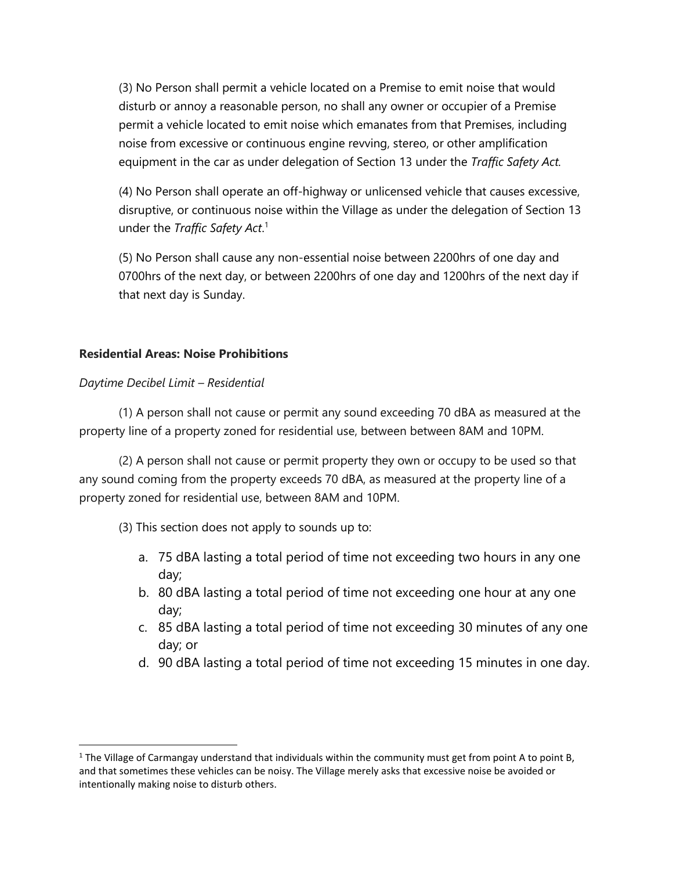(3) No Person shall permit a vehicle located on a Premise to emit noise that would disturb or annoy a reasonable person, no shall any owner or occupier of a Premise permit a vehicle located to emit noise which emanates from that Premises, including noise from excessive or continuous engine revving, stereo, or other amplification equipment in the car as under delegation of Section 13 under the *Traffic Safety Act.*

(4) No Person shall operate an off-highway or unlicensed vehicle that causes excessive, disruptive, or continuous noise within the Village as under the delegation of Section 13 under the *Traffic Safety Act*. 1

(5) No Person shall cause any non-essential noise between 2200hrs of one day and 0700hrs of the next day, or between 2200hrs of one day and 1200hrs of the next day if that next day is Sunday.

#### **Residential Areas: Noise Prohibitions**

#### *Daytime Decibel Limit – Residential*

(1) A person shall not cause or permit any sound exceeding 70 dBA as measured at the property line of a property zoned for residential use, between between 8AM and 10PM.

(2) A person shall not cause or permit property they own or occupy to be used so that any sound coming from the property exceeds 70 dBA, as measured at the property line of a property zoned for residential use, between 8AM and 10PM.

(3) This section does not apply to sounds up to:

- a. 75 dBA lasting a total period of time not exceeding two hours in any one day;
- b. 80 dBA lasting a total period of time not exceeding one hour at any one day;
- c. 85 dBA lasting a total period of time not exceeding 30 minutes of any one day; or
- d. 90 dBA lasting a total period of time not exceeding 15 minutes in one day.

<sup>&</sup>lt;sup>1</sup> The Village of Carmangay understand that individuals within the community must get from point A to point B, and that sometimes these vehicles can be noisy. The Village merely asks that excessive noise be avoided or intentionally making noise to disturb others.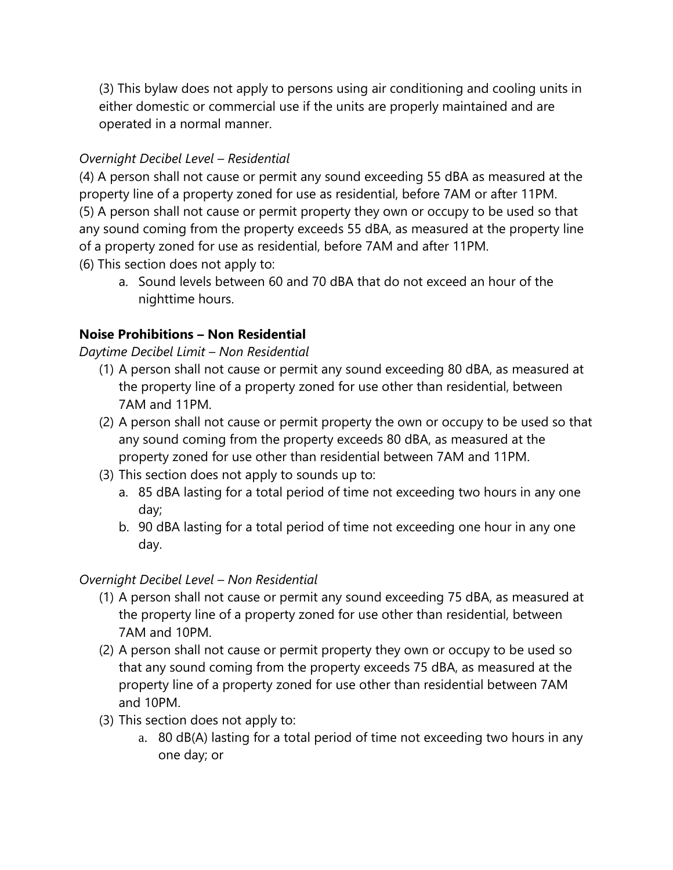(3) This bylaw does not apply to persons using air conditioning and cooling units in either domestic or commercial use if the units are properly maintained and are operated in a normal manner.

# *Overnight Decibel Level – Residential*

(4) A person shall not cause or permit any sound exceeding 55 dBA as measured at the property line of a property zoned for use as residential, before 7AM or after 11PM. (5) A person shall not cause or permit property they own or occupy to be used so that any sound coming from the property exceeds 55 dBA, as measured at the property line of a property zoned for use as residential, before 7AM and after 11PM. (6) This section does not apply to:

a. Sound levels between 60 and 70 dBA that do not exceed an hour of the nighttime hours.

# **Noise Prohibitions – Non Residential**

## *Daytime Decibel Limit – Non Residential*

- (1) A person shall not cause or permit any sound exceeding 80 dBA, as measured at the property line of a property zoned for use other than residential, between 7AM and 11PM.
- (2) A person shall not cause or permit property the own or occupy to be used so that any sound coming from the property exceeds 80 dBA, as measured at the property zoned for use other than residential between 7AM and 11PM.
- (3) This section does not apply to sounds up to:
	- a. 85 dBA lasting for a total period of time not exceeding two hours in any one day;
	- b. 90 dBA lasting for a total period of time not exceeding one hour in any one day.

## *Overnight Decibel Level – Non Residential*

- (1) A person shall not cause or permit any sound exceeding 75 dBA, as measured at the property line of a property zoned for use other than residential, between 7AM and 10PM.
- (2) A person shall not cause or permit property they own or occupy to be used so that any sound coming from the property exceeds 75 dBA, as measured at the property line of a property zoned for use other than residential between 7AM and 10PM.
- (3) This section does not apply to:
	- a. 80 dB(A) lasting for a total period of time not exceeding two hours in any one day; or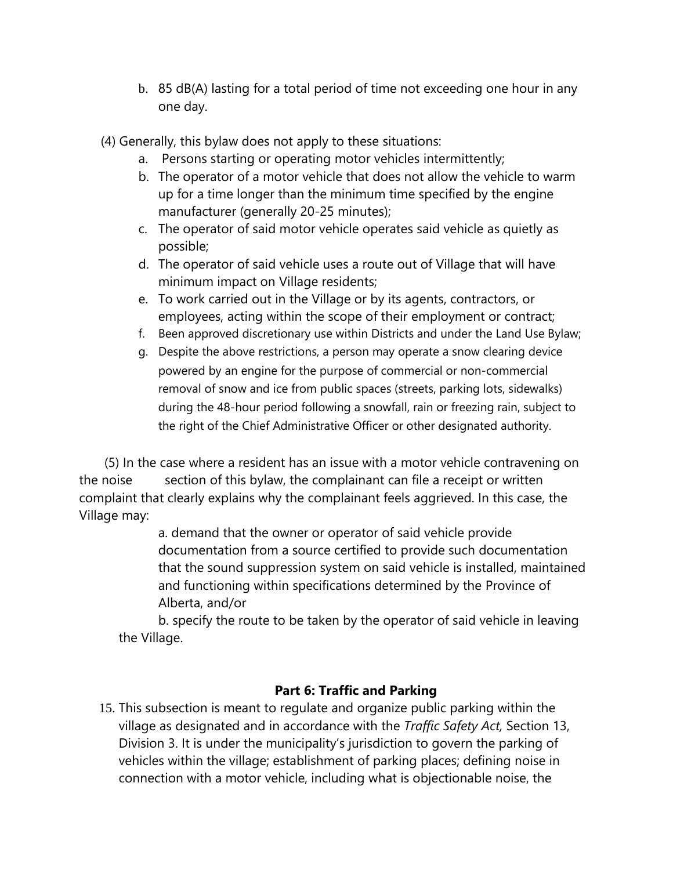- b. 85 dB(A) lasting for a total period of time not exceeding one hour in any one day.
- (4) Generally, this bylaw does not apply to these situations:
	- a. Persons starting or operating motor vehicles intermittently;
	- b. The operator of a motor vehicle that does not allow the vehicle to warm up for a time longer than the minimum time specified by the engine manufacturer (generally 20-25 minutes);
	- c. The operator of said motor vehicle operates said vehicle as quietly as possible;
	- d. The operator of said vehicle uses a route out of Village that will have minimum impact on Village residents;
	- e. To work carried out in the Village or by its agents, contractors, or employees, acting within the scope of their employment or contract;
	- f. Been approved discretionary use within Districts and under the Land Use Bylaw;
	- g. Despite the above restrictions, a person may operate a snow clearing device powered by an engine for the purpose of commercial or non-commercial removal of snow and ice from public spaces (streets, parking lots, sidewalks) during the 48-hour period following a snowfall, rain or freezing rain, subject to the right of the Chief Administrative Officer or other designated authority.

 (5) In the case where a resident has an issue with a motor vehicle contravening on the noise section of this bylaw, the complainant can file a receipt or written complaint that clearly explains why the complainant feels aggrieved. In this case, the Village may:

> a. demand that the owner or operator of said vehicle provide documentation from a source certified to provide such documentation that the sound suppression system on said vehicle is installed, maintained and functioning within specifications determined by the Province of Alberta, and/or

b. specify the route to be taken by the operator of said vehicle in leaving the Village.

## **Part 6: Traffic and Parking**

15. This subsection is meant to regulate and organize public parking within the village as designated and in accordance with the *Traffic Safety Act,* Section 13, Division 3. It is under the municipality's jurisdiction to govern the parking of vehicles within the village; establishment of parking places; defining noise in connection with a motor vehicle, including what is objectionable noise, the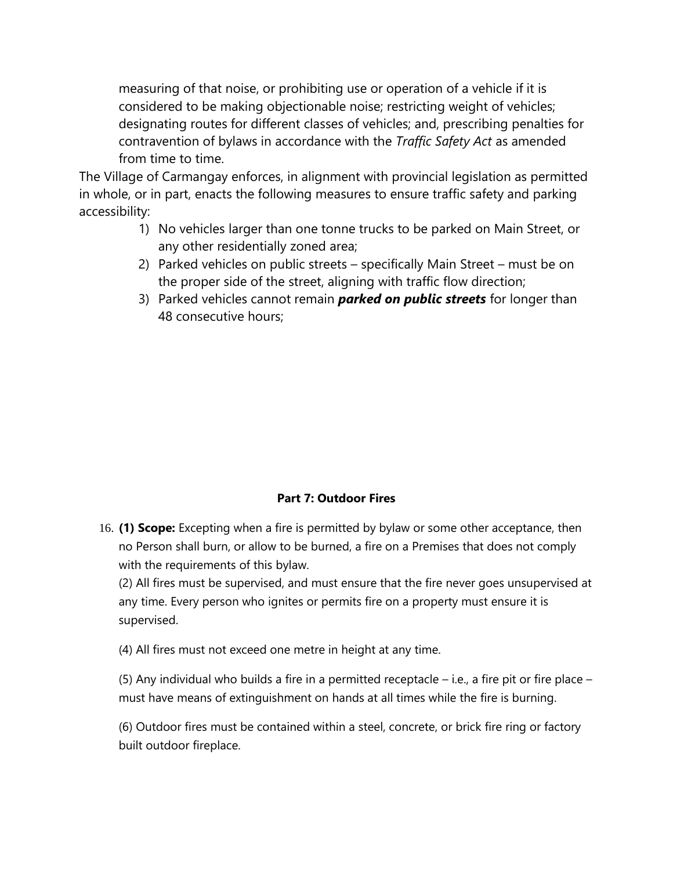measuring of that noise, or prohibiting use or operation of a vehicle if it is considered to be making objectionable noise; restricting weight of vehicles; designating routes for different classes of vehicles; and, prescribing penalties for contravention of bylaws in accordance with the *Traffic Safety Act* as amended from time to time.

The Village of Carmangay enforces, in alignment with provincial legislation as permitted in whole, or in part, enacts the following measures to ensure traffic safety and parking accessibility:

- 1) No vehicles larger than one tonne trucks to be parked on Main Street, or any other residentially zoned area;
- 2) Parked vehicles on public streets specifically Main Street must be on the proper side of the street, aligning with traffic flow direction;
- 3) Parked vehicles cannot remain *parked on public streets* for longer than 48 consecutive hours;

## **Part 7: Outdoor Fires**

16. **(1) Scope:** Excepting when a fire is permitted by bylaw or some other acceptance, then no Person shall burn, or allow to be burned, a fire on a Premises that does not comply with the requirements of this bylaw.

(2) All fires must be supervised, and must ensure that the fire never goes unsupervised at any time. Every person who ignites or permits fire on a property must ensure it is supervised.

(4) All fires must not exceed one metre in height at any time.

(5) Any individual who builds a fire in a permitted receptacle – i.e., a fire pit or fire place – must have means of extinguishment on hands at all times while the fire is burning.

(6) Outdoor fires must be contained within a steel, concrete, or brick fire ring or factory built outdoor fireplace.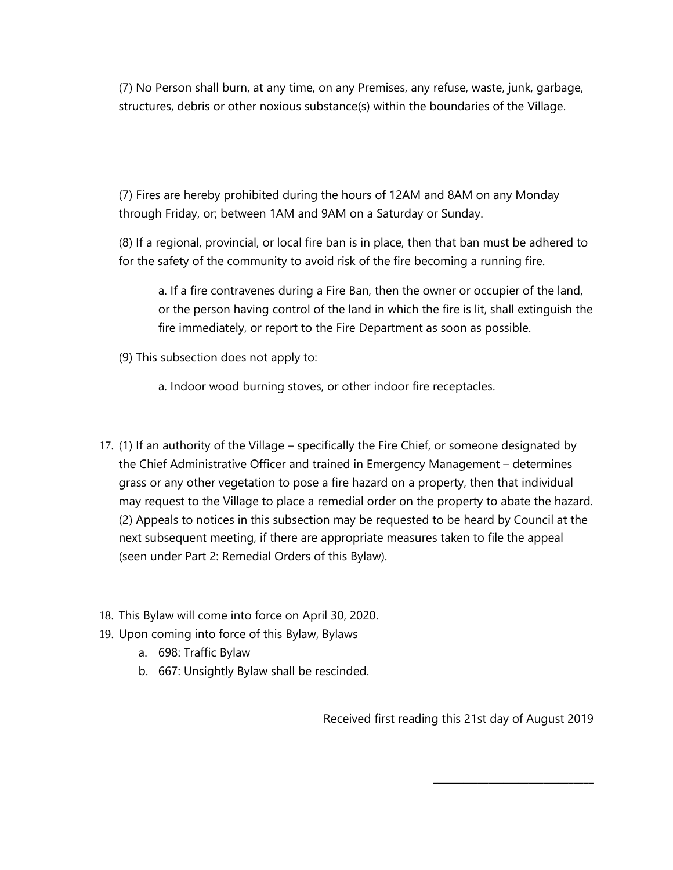(7) No Person shall burn, at any time, on any Premises, any refuse, waste, junk, garbage, structures, debris or other noxious substance(s) within the boundaries of the Village.

(7) Fires are hereby prohibited during the hours of 12AM and 8AM on any Monday through Friday, or; between 1AM and 9AM on a Saturday or Sunday.

(8) If a regional, provincial, or local fire ban is in place, then that ban must be adhered to for the safety of the community to avoid risk of the fire becoming a running fire.

a. If a fire contravenes during a Fire Ban, then the owner or occupier of the land, or the person having control of the land in which the fire is lit, shall extinguish the fire immediately, or report to the Fire Department as soon as possible.

- (9) This subsection does not apply to:
	- a. Indoor wood burning stoves, or other indoor fire receptacles.
- 17. (1) If an authority of the Village specifically the Fire Chief, or someone designated by the Chief Administrative Officer and trained in Emergency Management – determines grass or any other vegetation to pose a fire hazard on a property, then that individual may request to the Village to place a remedial order on the property to abate the hazard. (2) Appeals to notices in this subsection may be requested to be heard by Council at the next subsequent meeting, if there are appropriate measures taken to file the appeal (seen under Part 2: Remedial Orders of this Bylaw).
- 18. This Bylaw will come into force on April 30, 2020.
- 19. Upon coming into force of this Bylaw, Bylaws
	- a. 698: Traffic Bylaw
	- b. 667: Unsightly Bylaw shall be rescinded.

Received first reading this 21st day of August 2019

\_\_\_\_\_\_\_\_\_\_\_\_\_\_\_\_\_\_\_\_\_\_\_\_\_\_\_\_\_\_\_\_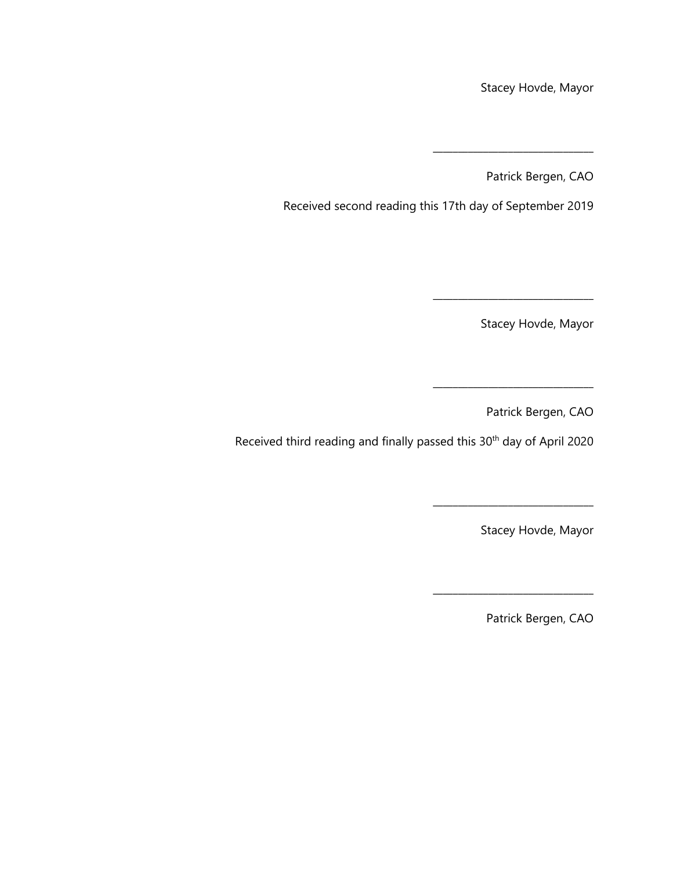Stacey Hovde, Mayor

Patrick Bergen, CAO

\_\_\_\_\_\_\_\_\_\_\_\_\_\_\_\_\_\_\_\_\_\_\_\_\_\_\_\_\_\_\_\_

Received second reading this 17th day of September 2019

Stacey Hovde, Mayor

Patrick Bergen, CAO

\_\_\_\_\_\_\_\_\_\_\_\_\_\_\_\_\_\_\_\_\_\_\_\_\_\_\_\_\_\_\_\_

Received third reading and finally passed this 30<sup>th</sup> day of April 2020

Stacey Hovde, Mayor

\_\_\_\_\_\_\_\_\_\_\_\_\_\_\_\_\_\_\_\_\_\_\_\_\_\_\_\_\_\_\_\_

Patrick Bergen, CAO

\_\_\_\_\_\_\_\_\_\_\_\_\_\_\_\_\_\_\_\_\_\_\_\_\_\_\_\_\_\_\_\_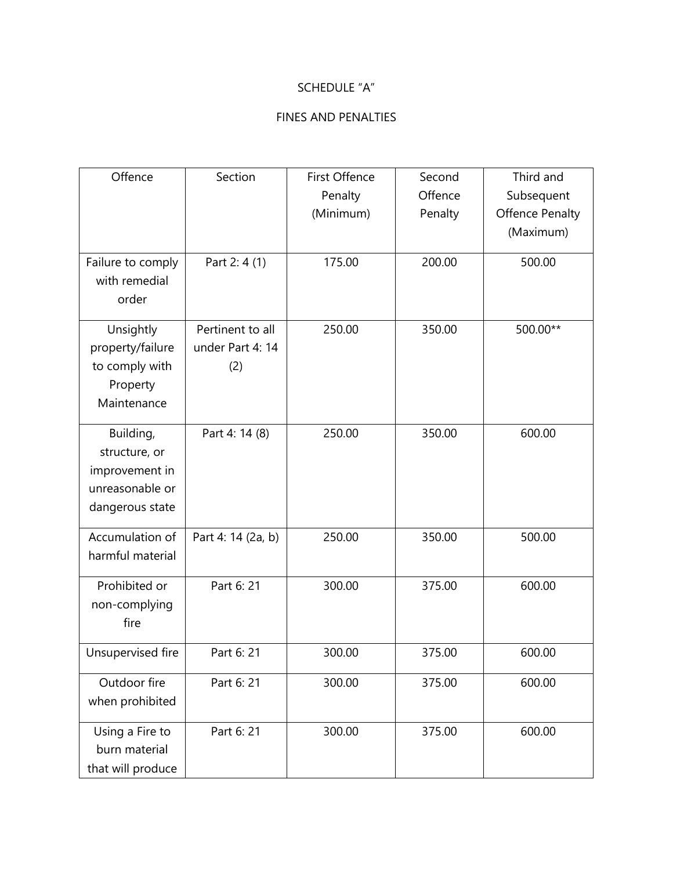## SCHEDULE "A"

### FINES AND PENALTIES

| Offence                                                                            | Section                                     | First Offence<br>Penalty<br>(Minimum) | Second<br>Offence<br>Penalty | Third and<br>Subsequent<br><b>Offence Penalty</b><br>(Maximum) |
|------------------------------------------------------------------------------------|---------------------------------------------|---------------------------------------|------------------------------|----------------------------------------------------------------|
| Failure to comply<br>with remedial<br>order                                        | Part 2: 4 (1)                               | 175.00                                | 200.00                       | 500.00                                                         |
| Unsightly<br>property/failure<br>to comply with<br>Property<br>Maintenance         | Pertinent to all<br>under Part 4: 14<br>(2) | 250.00                                | 350.00                       | 500.00**                                                       |
| Building,<br>structure, or<br>improvement in<br>unreasonable or<br>dangerous state | Part 4: 14 (8)                              | 250.00                                | 350.00                       | 600.00                                                         |
| Accumulation of<br>harmful material                                                | Part 4: 14 (2a, b)                          | 250.00                                | 350.00                       | 500.00                                                         |
| Prohibited or<br>non-complying<br>fire                                             | Part 6: 21                                  | 300.00                                | 375.00                       | 600.00                                                         |
| Unsupervised fire                                                                  | Part 6: 21                                  | 300.00                                | 375.00                       | 600.00                                                         |
| Outdoor fire<br>when prohibited                                                    | Part 6: 21                                  | 300.00                                | 375.00                       | 600.00                                                         |
| Using a Fire to<br>burn material<br>that will produce                              | Part 6: 21                                  | 300.00                                | 375.00                       | 600.00                                                         |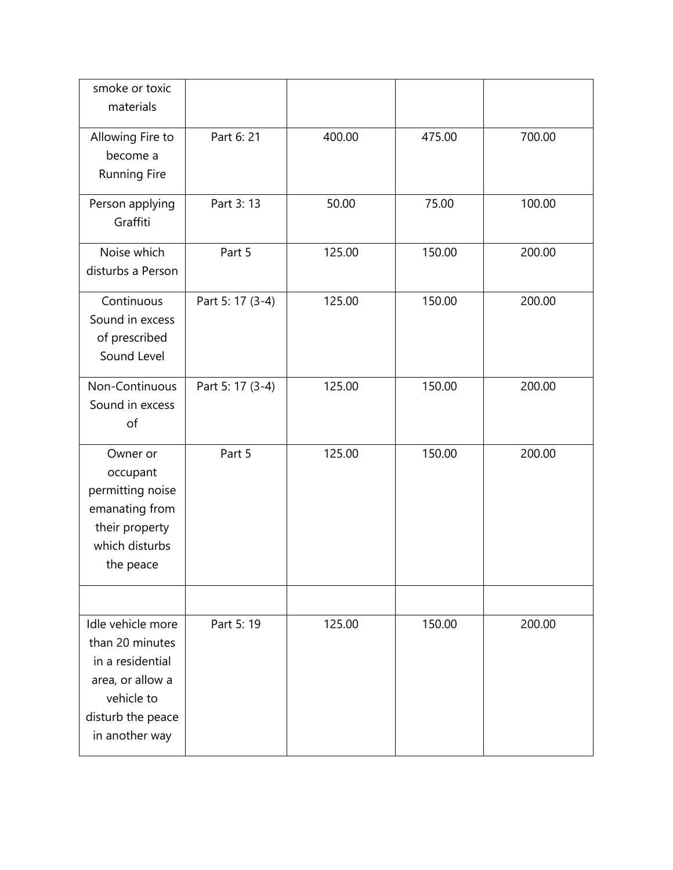| smoke or toxic<br>materials                                                                                                       |                  |        |        |        |
|-----------------------------------------------------------------------------------------------------------------------------------|------------------|--------|--------|--------|
| Allowing Fire to<br>become a<br>Running Fire                                                                                      | Part 6: 21       | 400.00 | 475.00 | 700.00 |
| Person applying<br>Graffiti                                                                                                       | Part 3: 13       | 50.00  | 75.00  | 100.00 |
| Noise which<br>disturbs a Person                                                                                                  | Part 5           | 125.00 | 150.00 | 200.00 |
| Continuous<br>Sound in excess<br>of prescribed<br>Sound Level                                                                     | Part 5: 17 (3-4) | 125.00 | 150.00 | 200.00 |
| Non-Continuous<br>Sound in excess<br>of                                                                                           | Part 5: 17 (3-4) | 125.00 | 150.00 | 200.00 |
| Owner or<br>occupant<br>permitting noise<br>emanating from<br>their property<br>which disturbs<br>the peace                       | Part 5           | 125.00 | 150.00 | 200.00 |
| Idle vehicle more<br>than 20 minutes<br>in a residential<br>area, or allow a<br>vehicle to<br>disturb the peace<br>in another way | Part 5: 19       | 125.00 | 150.00 | 200.00 |